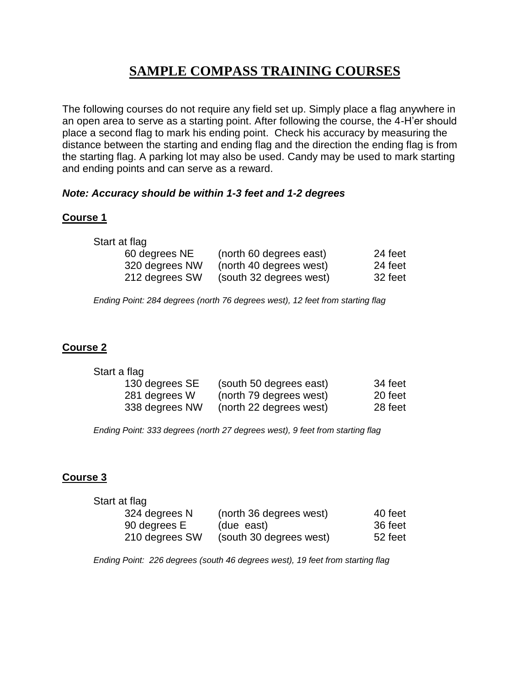# **SAMPLE COMPASS TRAINING COURSES**

The following courses do not require any field set up. Simply place a flag anywhere in an open area to serve as a starting point. After following the course, the 4-H'er should place a second flag to mark his ending point. Check his accuracy by measuring the distance between the starting and ending flag and the direction the ending flag is from the starting flag. A parking lot may also be used. Candy may be used to mark starting and ending points and can serve as a reward.

#### *Note: Accuracy should be within 1-3 feet and 1-2 degrees*

#### **Course 1**

| Start at flag  |                         |         |
|----------------|-------------------------|---------|
| 60 degrees NE  | (north 60 degrees east) | 24 feet |
| 320 degrees NW | (north 40 degrees west) | 24 feet |
| 212 degrees SW | (south 32 degrees west) | 32 feet |

*Ending Point: 284 degrees (north 76 degrees west), 12 feet from starting flag*

## **Course 2**

| Start a flag   |                         |         |
|----------------|-------------------------|---------|
| 130 degrees SE | (south 50 degrees east) | 34 feet |
| 281 degrees W  | (north 79 degrees west) | 20 feet |
| 338 degrees NW | (north 22 degrees west) | 28 feet |

*Ending Point: 333 degrees (north 27 degrees west), 9 feet from starting flag*

# **Course 3**

| Start at flag  |                         |         |
|----------------|-------------------------|---------|
| 324 degrees N  | (north 36 degrees west) | 40 feet |
| 90 degrees E   | (due east)              | 36 feet |
| 210 degrees SW | (south 30 degrees west) | 52 feet |

*Ending Point: 226 degrees (south 46 degrees west), 19 feet from starting flag*